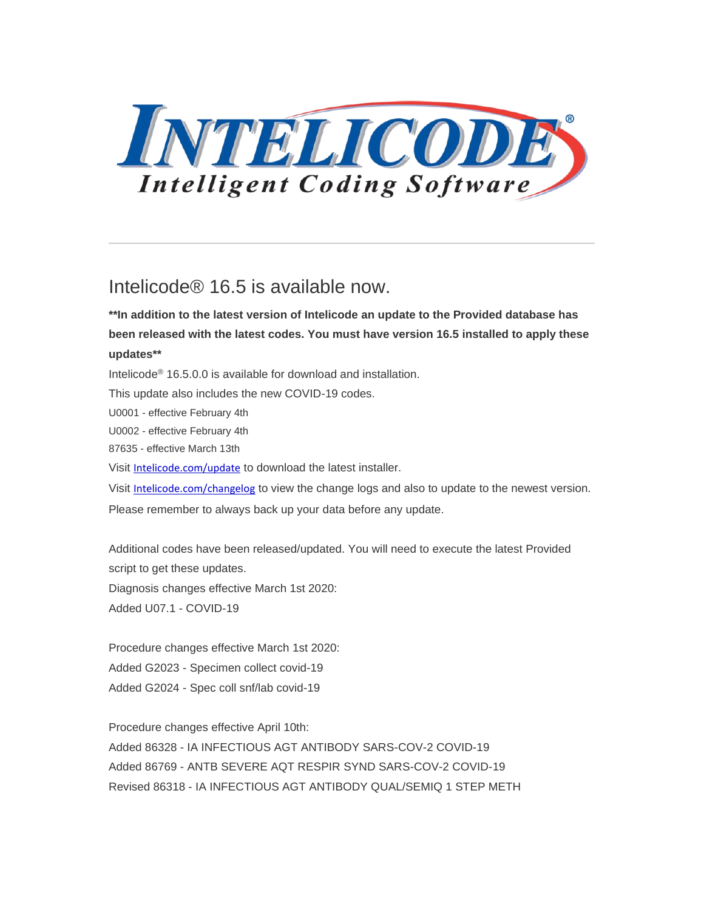

# Intelicode® 16.5 is available now.

**\*\*In addition to the latest version of Intelicode an update to the Provided database has been released with the latest codes. You must have version 16.5 installed to apply these updates\*\***

Intelicode® 16.5.0.0 is available for download and installation.

This update also includes the new COVID-19 codes.

U0001 - effective February 4th

U0002 - effective February 4th

87635 - effective March 13th

Visit [Intelicode.com/update](https://intelicode.com/update) to download the latest installer.

Visit [Intelicode.com/changelog](https://intelicode.com/changelog) to view the change logs and also to update to the newest version. Please remember to always back up your data before any update.

Additional codes have been released/updated. You will need to execute the latest Provided script to get these updates. Diagnosis changes effective March 1st 2020: Added U07.1 - COVID-19

Procedure changes effective March 1st 2020: Added G2023 - Specimen collect covid-19 Added G2024 - Spec coll snf/lab covid-19

Procedure changes effective April 10th: Added 86328 - IA INFECTIOUS AGT ANTIBODY SARS-COV-2 COVID-19 Added 86769 - ANTB SEVERE AQT RESPIR SYND SARS-COV-2 COVID-19 Revised 86318 - IA INFECTIOUS AGT ANTIBODY QUAL/SEMIQ 1 STEP METH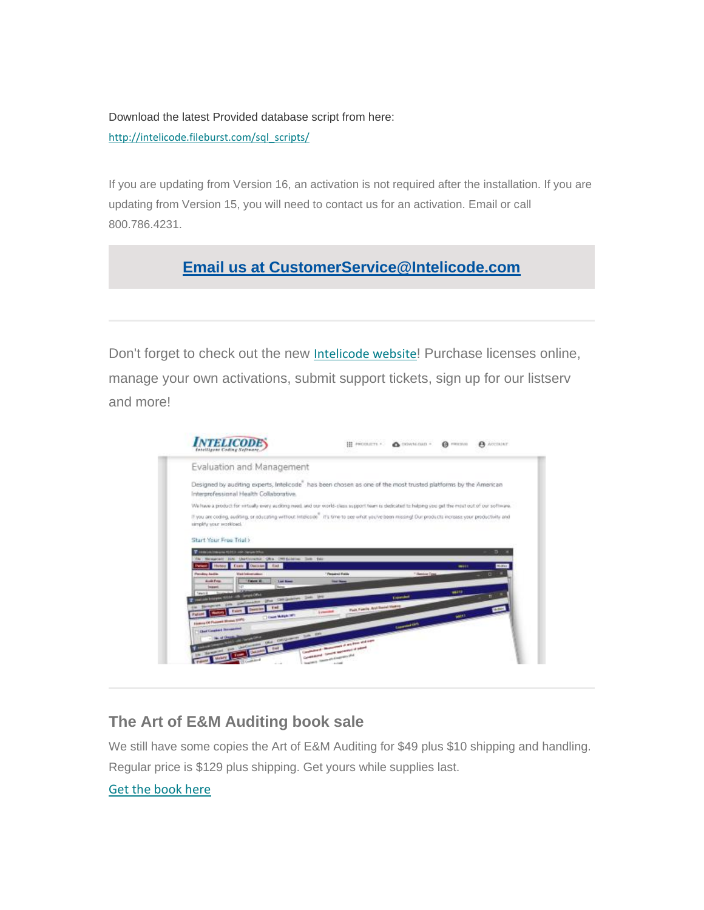Download the latest Provided database script from here: [http://intelicode.fileburst.com/sql\\_scripts/](http://intelicode.fileburst.com/sql_scripts/)

If you are updating from Version 16, an activation is not required after the installation. If you are updating from Version 15, you will need to contact us for an activation. Email or call 800.786.4231.

# **[Email us at CustomerService@Intelicode.com](mailto:customerservice@intelicode.com?subject=Need%20Assistance)**

Don't forget to check out the new [Intelicode website](https://intelicode.com/)! Purchase licenses online, manage your own activations, submit support tickets, sign up for our listserv and more!

| <b>INTELICODE</b>                                                                                                                                                                                             |                                                                                                                                      | III PRODUCTS . A DOWNGAIL . | <b>G</b> micros | A ACCIAINT |
|---------------------------------------------------------------------------------------------------------------------------------------------------------------------------------------------------------------|--------------------------------------------------------------------------------------------------------------------------------------|-----------------------------|-----------------|------------|
| Evaluation and Management                                                                                                                                                                                     |                                                                                                                                      |                             |                 |            |
| Designed by auditing experts, Intelicode" has been chosen as one of the most trusted platforms by the American<br>Interprofessional Health Collaborative.                                                     |                                                                                                                                      |                             |                 |            |
| We have a product for virtually every auditing meet, and our world-clean support team is dedicated to helping you get the most out of our software.                                                           |                                                                                                                                      |                             |                 |            |
| If you are coding, auditing, or educating without intellicion. If is time to see what you've been missing! Our products increase your productivity and<br>simplify your seatkload.<br>Start Your Free Trial > |                                                                                                                                      |                             |                 |            |
|                                                                                                                                                                                                               |                                                                                                                                      |                             |                 |            |
| The company transport to \$10.00 and to be years for him<br>The Management June Chartestowner Cities (MS Collection Town Twist                                                                                |                                                                                                                                      |                             |                 | в          |
| <b>CEME</b><br>Hunoy Exely Datisan                                                                                                                                                                            |                                                                                                                                      |                             | 86111           | Nollen     |
| <b>Paradox Audio</b><br><b>Visit International</b>                                                                                                                                                            | <sup>7</sup> Fernand Friday                                                                                                          | <sup>7</sup> Heroice Egg    |                 |            |
| Fusions 20<br>Audit Firial<br><b>Last News</b><br><b>HERMI</b>                                                                                                                                                | <b><i><u>Start Stewart</u></i></b>                                                                                                   |                             |                 |            |
| relationships and Lamps Offset                                                                                                                                                                                |                                                                                                                                      | <b>Laparente</b>            | <b>MATIO</b>    |            |
| Browner, John Dellerston, Die Children, Det 200<br>Feb.                                                                                                                                                       |                                                                                                                                      |                             |                 |            |
| <b>Making</b><br><b>Patient</b>                                                                                                                                                                               | Park Foreig, And Swind Highest<br><b><i><u>Symmetry</u></i></b>                                                                      |                             |                 |            |
| C Church Multiple 1971<br>Finding Of Payment Monat 1997                                                                                                                                                       |                                                                                                                                      |                             | <b>MILLE</b>    |            |
| <b>Charl Constant Technology</b>                                                                                                                                                                              |                                                                                                                                      | <b>Luciando Com</b>         |                 |            |
| One carbone has an                                                                                                                                                                                            |                                                                                                                                      |                             |                 |            |
| <b>Transfer</b>                                                                                                                                                                                               | committee of characterized at any does and over-<br>Constituted County secondary of plans<br><b>Search American Contractor (Ed.)</b> |                             |                 |            |

## **The Art of E&M Auditing book sale**

We still have some copies the Art of E&M Auditing for \$49 plus \$10 shipping and handling. Regular price is \$129 plus shipping. Get yours while supplies last.

## [Get the book here](https://intelicode.com/the-art-of-evaluation-and-management)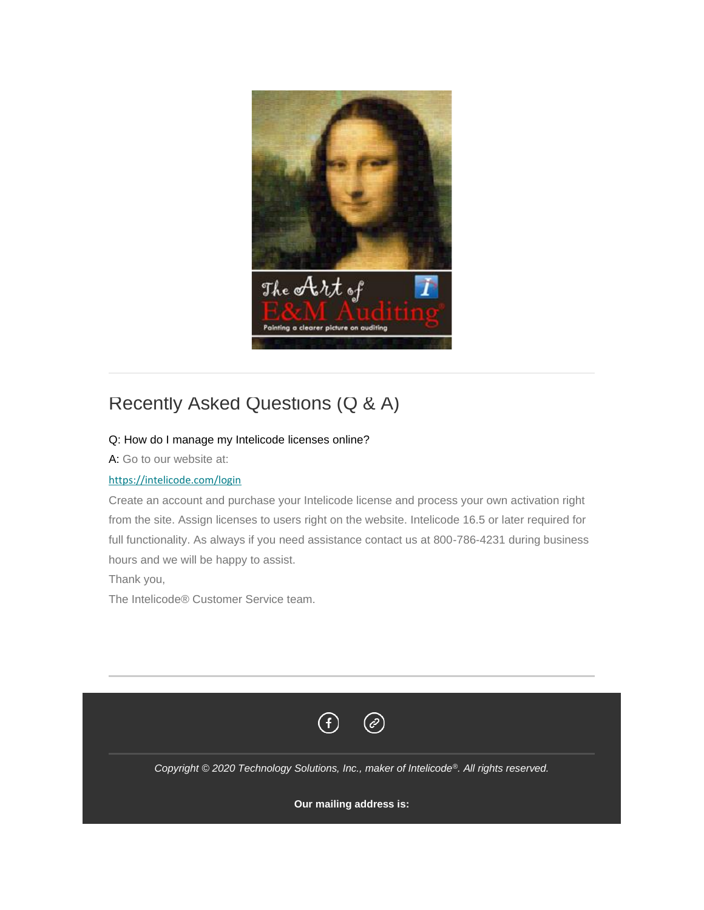

# Recently Asked Questions (Q & A)

### Q: How do I manage my Intelicode licenses online?

A: Go to our website at:

#### <https://intelicode.com/login>

Create an account and purchase your Intelicode license and process your own activation right from the site. Assign licenses to users right on the website. Intelicode 16.5 or later required for full functionality. As always if you need assistance contact us at 800-786-4231 during business hours and we will be happy to assist.

Thank you,

The Intelicode® Customer Service team.